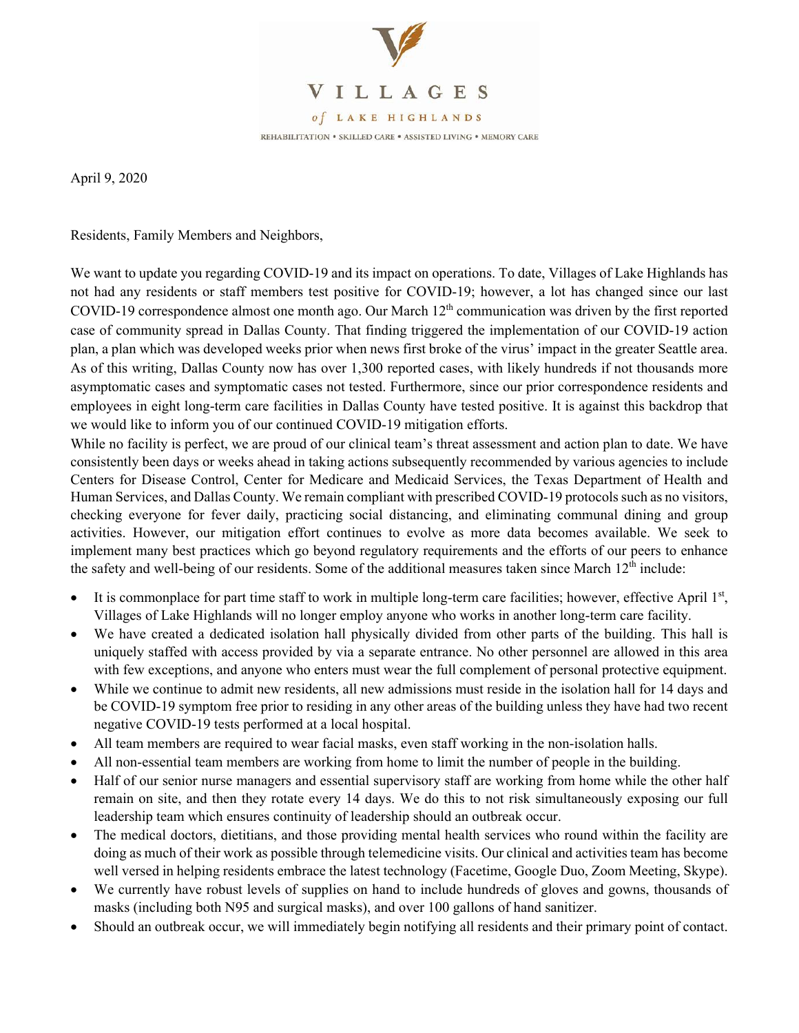

April 9, 2020

Residents, Family Members and Neighbors,

We want to update you regarding COVID-19 and its impact on operations. To date, Villages of Lake Highlands has not had any residents or staff members test positive for COVID-19; however, a lot has changed since our last COVID-19 correspondence almost one month ago. Our March 12<sup>th</sup> communication was driven by the first reported case of community spread in Dallas County. That finding triggered the implementation of our COVID-19 action plan, a plan which was developed weeks prior when news first broke of the virus' impact in the greater Seattle area. As of this writing, Dallas County now has over 1,300 reported cases, with likely hundreds if not thousands more asymptomatic cases and symptomatic cases not tested. Furthermore, since our prior correspondence residents and employees in eight long-term care facilities in Dallas County have tested positive. It is against this backdrop that we would like to inform you of our continued COVID-19 mitigation efforts.

While no facility is perfect, we are proud of our clinical team's threat assessment and action plan to date. We have consistently been days or weeks ahead in taking actions subsequently recommended by various agencies to include Centers for Disease Control, Center for Medicare and Medicaid Services, the Texas Department of Health and Human Services, and Dallas County. We remain compliant with prescribed COVID-19 protocols such as no visitors, checking everyone for fever daily, practicing social distancing, and eliminating communal dining and group activities. However, our mitigation effort continues to evolve as more data becomes available. We seek to implement many best practices which go beyond regulatory requirements and the efforts of our peers to enhance the safety and well-being of our residents. Some of the additional measures taken since March  $12<sup>th</sup>$  include:

- It is commonplace for part time staff to work in multiple long-term care facilities; however, effective April 1st, Villages of Lake Highlands will no longer employ anyone who works in another long-term care facility.
- We have created a dedicated isolation hall physically divided from other parts of the building. This hall is uniquely staffed with access provided by via a separate entrance. No other personnel are allowed in this area with few exceptions, and anyone who enters must wear the full complement of personal protective equipment.
- While we continue to admit new residents, all new admissions must reside in the isolation hall for 14 days and be COVID-19 symptom free prior to residing in any other areas of the building unless they have had two recent negative COVID-19 tests performed at a local hospital.
- All team members are required to wear facial masks, even staff working in the non-isolation halls.
- All non-essential team members are working from home to limit the number of people in the building.
- Half of our senior nurse managers and essential supervisory staff are working from home while the other half remain on site, and then they rotate every 14 days. We do this to not risk simultaneously exposing our full leadership team which ensures continuity of leadership should an outbreak occur.
- The medical doctors, dietitians, and those providing mental health services who round within the facility are doing as much of their work as possible through telemedicine visits. Our clinical and activities team has become well versed in helping residents embrace the latest technology (Facetime, Google Duo, Zoom Meeting, Skype).
- We currently have robust levels of supplies on hand to include hundreds of gloves and gowns, thousands of masks (including both N95 and surgical masks), and over 100 gallons of hand sanitizer.
- Should an outbreak occur, we will immediately begin notifying all residents and their primary point of contact.